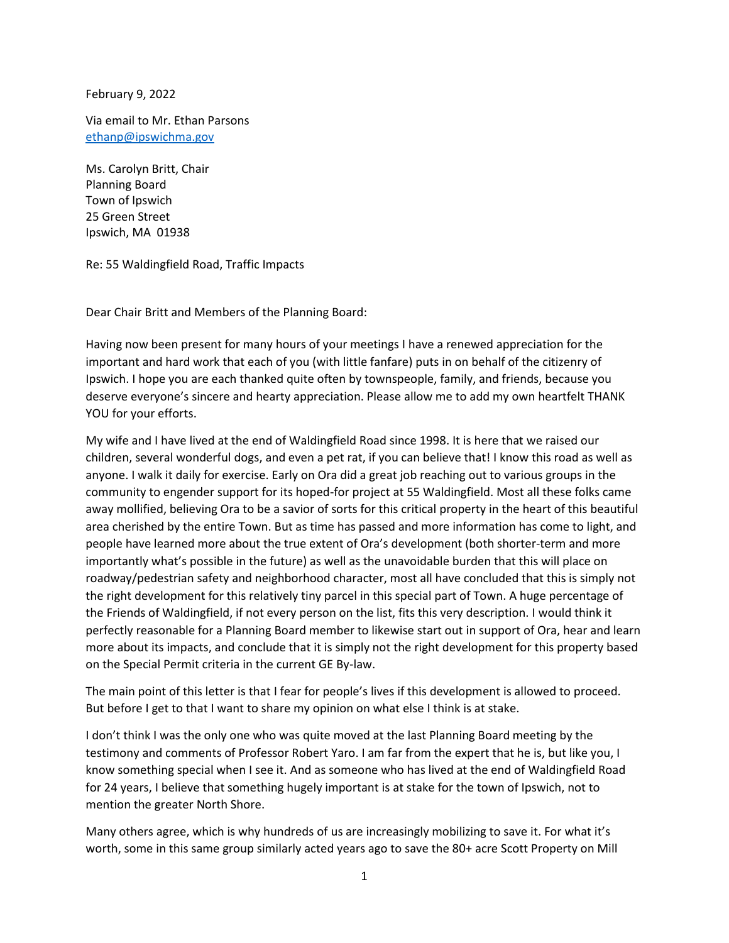February 9, 2022

Via email to Mr. Ethan Parsons [ethanp@ipswichma.gov](mailto:ethanp@ipswichma.gov)

Ms. Carolyn Britt, Chair Planning Board Town of Ipswich 25 Green Street Ipswich, MA 01938

Re: 55 Waldingfield Road, Traffic Impacts

Dear Chair Britt and Members of the Planning Board:

Having now been present for many hours of your meetings I have a renewed appreciation for the important and hard work that each of you (with little fanfare) puts in on behalf of the citizenry of Ipswich. I hope you are each thanked quite often by townspeople, family, and friends, because you deserve everyone's sincere and hearty appreciation. Please allow me to add my own heartfelt THANK YOU for your efforts.

My wife and I have lived at the end of Waldingfield Road since 1998. It is here that we raised our children, several wonderful dogs, and even a pet rat, if you can believe that! I know this road as well as anyone. I walk it daily for exercise. Early on Ora did a great job reaching out to various groups in the community to engender support for its hoped-for project at 55 Waldingfield. Most all these folks came away mollified, believing Ora to be a savior of sorts for this critical property in the heart of this beautiful area cherished by the entire Town. But as time has passed and more information has come to light, and people have learned more about the true extent of Ora's development (both shorter-term and more importantly what's possible in the future) as well as the unavoidable burden that this will place on roadway/pedestrian safety and neighborhood character, most all have concluded that this is simply not the right development for this relatively tiny parcel in this special part of Town. A huge percentage of the Friends of Waldingfield, if not every person on the list, fits this very description. I would think it perfectly reasonable for a Planning Board member to likewise start out in support of Ora, hear and learn more about its impacts, and conclude that it is simply not the right development for this property based on the Special Permit criteria in the current GE By-law.

The main point of this letter is that I fear for people's lives if this development is allowed to proceed. But before I get to that I want to share my opinion on what else I think is at stake.

I don't think I was the only one who was quite moved at the last Planning Board meeting by the testimony and comments of Professor Robert Yaro. I am far from the expert that he is, but like you, I know something special when I see it. And as someone who has lived at the end of Waldingfield Road for 24 years, I believe that something hugely important is at stake for the town of Ipswich, not to mention the greater North Shore.

Many others agree, which is why hundreds of us are increasingly mobilizing to save it. For what it's worth, some in this same group similarly acted years ago to save the 80+ acre Scott Property on Mill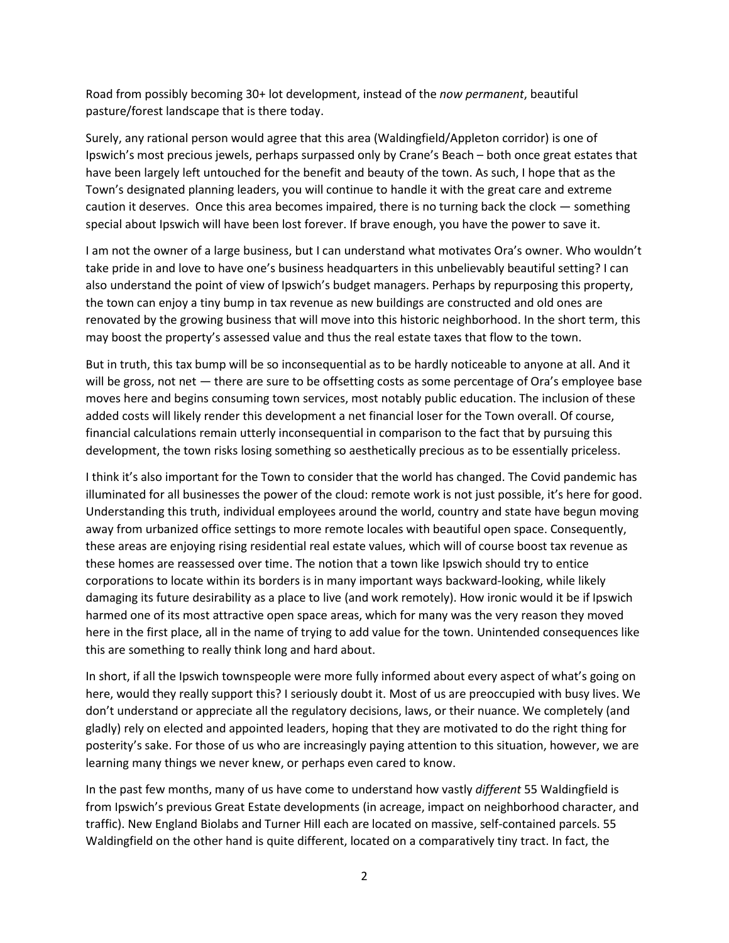Road from possibly becoming 30+ lot development, instead of the *now permanent*, beautiful pasture/forest landscape that is there today.

Surely, any rational person would agree that this area (Waldingfield/Appleton corridor) is one of Ipswich's most precious jewels, perhaps surpassed only by Crane's Beach – both once great estates that have been largely left untouched for the benefit and beauty of the town. As such, I hope that as the Town's designated planning leaders, you will continue to handle it with the great care and extreme caution it deserves. Once this area becomes impaired, there is no turning back the clock — something special about Ipswich will have been lost forever. If brave enough, you have the power to save it.

I am not the owner of a large business, but I can understand what motivates Ora's owner. Who wouldn't take pride in and love to have one's business headquarters in this unbelievably beautiful setting? I can also understand the point of view of Ipswich's budget managers. Perhaps by repurposing this property, the town can enjoy a tiny bump in tax revenue as new buildings are constructed and old ones are renovated by the growing business that will move into this historic neighborhood. In the short term, this may boost the property's assessed value and thus the real estate taxes that flow to the town.

But in truth, this tax bump will be so inconsequential as to be hardly noticeable to anyone at all. And it will be gross, not net — there are sure to be offsetting costs as some percentage of Ora's employee base moves here and begins consuming town services, most notably public education. The inclusion of these added costs will likely render this development a net financial loser for the Town overall. Of course, financial calculations remain utterly inconsequential in comparison to the fact that by pursuing this development, the town risks losing something so aesthetically precious as to be essentially priceless.

I think it's also important for the Town to consider that the world has changed. The Covid pandemic has illuminated for all businesses the power of the cloud: remote work is not just possible, it's here for good. Understanding this truth, individual employees around the world, country and state have begun moving away from urbanized office settings to more remote locales with beautiful open space. Consequently, these areas are enjoying rising residential real estate values, which will of course boost tax revenue as these homes are reassessed over time. The notion that a town like Ipswich should try to entice corporations to locate within its borders is in many important ways backward-looking, while likely damaging its future desirability as a place to live (and work remotely). How ironic would it be if Ipswich harmed one of its most attractive open space areas, which for many was the very reason they moved here in the first place, all in the name of trying to add value for the town. Unintended consequences like this are something to really think long and hard about.

In short, if all the Ipswich townspeople were more fully informed about every aspect of what's going on here, would they really support this? I seriously doubt it. Most of us are preoccupied with busy lives. We don't understand or appreciate all the regulatory decisions, laws, or their nuance. We completely (and gladly) rely on elected and appointed leaders, hoping that they are motivated to do the right thing for posterity's sake. For those of us who are increasingly paying attention to this situation, however, we are learning many things we never knew, or perhaps even cared to know.

In the past few months, many of us have come to understand how vastly *different* 55 Waldingfield is from Ipswich's previous Great Estate developments (in acreage, impact on neighborhood character, and traffic). New England Biolabs and Turner Hill each are located on massive, self-contained parcels. 55 Waldingfield on the other hand is quite different, located on a comparatively tiny tract. In fact, the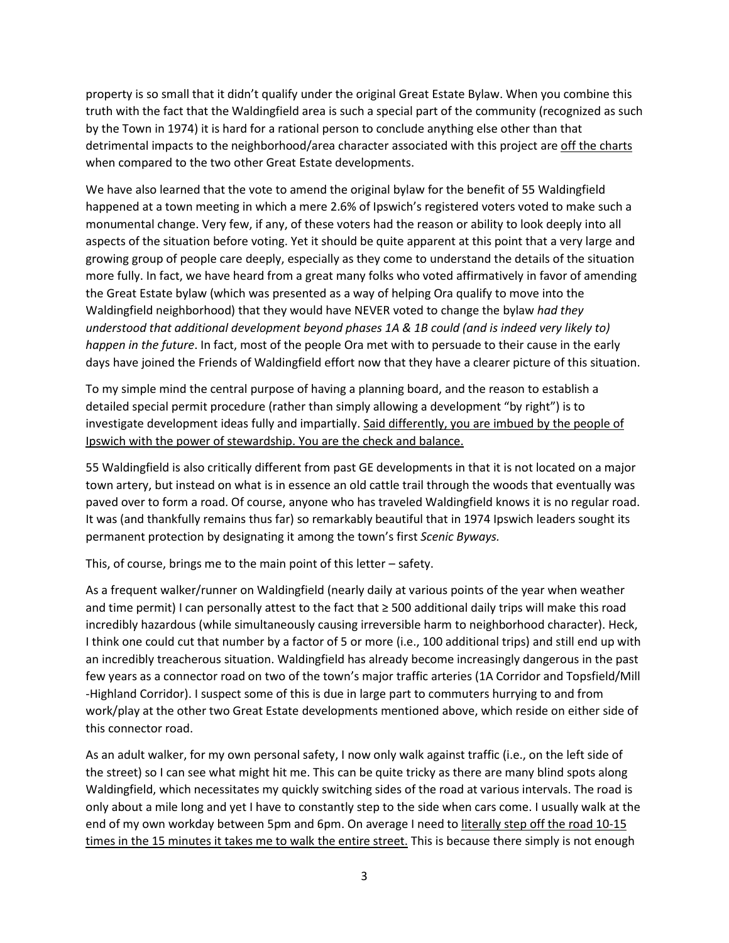property is so small that it didn't qualify under the original Great Estate Bylaw. When you combine this truth with the fact that the Waldingfield area is such a special part of the community (recognized as such by the Town in 1974) it is hard for a rational person to conclude anything else other than that detrimental impacts to the neighborhood/area character associated with this project are off the charts when compared to the two other Great Estate developments.

We have also learned that the vote to amend the original bylaw for the benefit of 55 Waldingfield happened at a town meeting in which a mere 2.6% of Ipswich's registered voters voted to make such a monumental change. Very few, if any, of these voters had the reason or ability to look deeply into all aspects of the situation before voting. Yet it should be quite apparent at this point that a very large and growing group of people care deeply, especially as they come to understand the details of the situation more fully. In fact, we have heard from a great many folks who voted affirmatively in favor of amending the Great Estate bylaw (which was presented as a way of helping Ora qualify to move into the Waldingfield neighborhood) that they would have NEVER voted to change the bylaw *had they understood that additional development beyond phases 1A & 1B could (and is indeed very likely to) happen in the future*. In fact, most of the people Ora met with to persuade to their cause in the early days have joined the Friends of Waldingfield effort now that they have a clearer picture of this situation.

To my simple mind the central purpose of having a planning board, and the reason to establish a detailed special permit procedure (rather than simply allowing a development "by right") is to investigate development ideas fully and impartially. Said differently, you are imbued by the people of Ipswich with the power of stewardship. You are the check and balance.

55 Waldingfield is also critically different from past GE developments in that it is not located on a major town artery, but instead on what is in essence an old cattle trail through the woods that eventually was paved over to form a road. Of course, anyone who has traveled Waldingfield knows it is no regular road. It was (and thankfully remains thus far) so remarkably beautiful that in 1974 Ipswich leaders sought its permanent protection by designating it among the town's first *Scenic Byways.*

This, of course, brings me to the main point of this letter – safety.

As a frequent walker/runner on Waldingfield (nearly daily at various points of the year when weather and time permit) I can personally attest to the fact that ≥ 500 additional daily trips will make this road incredibly hazardous (while simultaneously causing irreversible harm to neighborhood character). Heck, I think one could cut that number by a factor of 5 or more (i.e., 100 additional trips) and still end up with an incredibly treacherous situation. Waldingfield has already become increasingly dangerous in the past few years as a connector road on two of the town's major traffic arteries (1A Corridor and Topsfield/Mill -Highland Corridor). I suspect some of this is due in large part to commuters hurrying to and from work/play at the other two Great Estate developments mentioned above, which reside on either side of this connector road.

As an adult walker, for my own personal safety, I now only walk against traffic (i.e., on the left side of the street) so I can see what might hit me. This can be quite tricky as there are many blind spots along Waldingfield, which necessitates my quickly switching sides of the road at various intervals. The road is only about a mile long and yet I have to constantly step to the side when cars come. I usually walk at the end of my own workday between 5pm and 6pm. On average I need to literally step off the road 10-15 times in the 15 minutes it takes me to walk the entire street. This is because there simply is not enough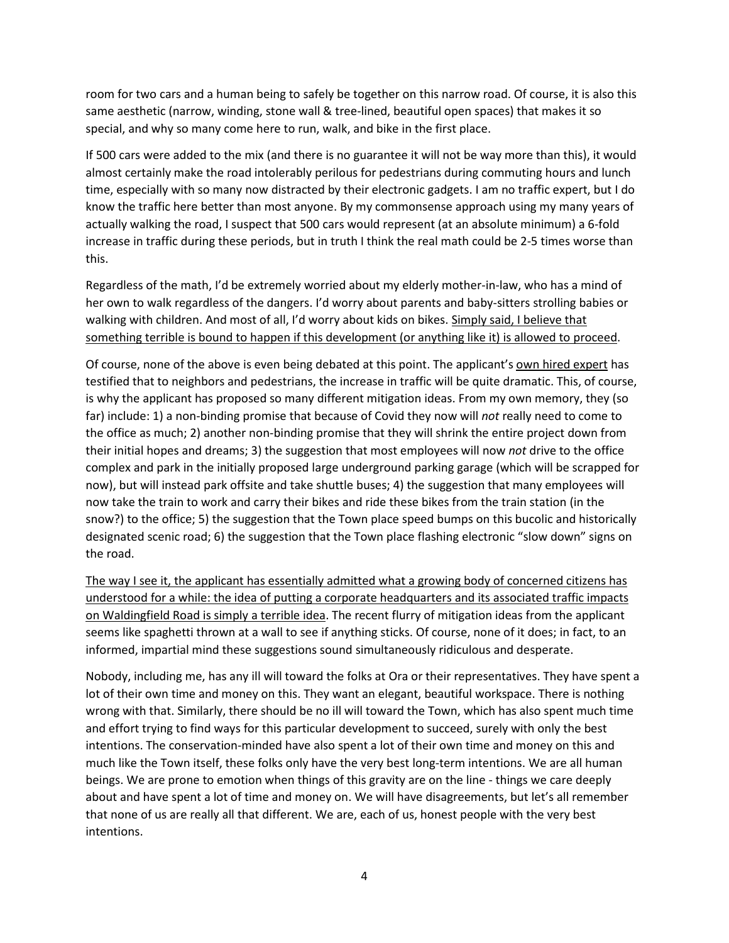room for two cars and a human being to safely be together on this narrow road. Of course, it is also this same aesthetic (narrow, winding, stone wall & tree-lined, beautiful open spaces) that makes it so special, and why so many come here to run, walk, and bike in the first place.

If 500 cars were added to the mix (and there is no guarantee it will not be way more than this), it would almost certainly make the road intolerably perilous for pedestrians during commuting hours and lunch time, especially with so many now distracted by their electronic gadgets. I am no traffic expert, but I do know the traffic here better than most anyone. By my commonsense approach using my many years of actually walking the road, I suspect that 500 cars would represent (at an absolute minimum) a 6-fold increase in traffic during these periods, but in truth I think the real math could be 2-5 times worse than this.

Regardless of the math, I'd be extremely worried about my elderly mother-in-law, who has a mind of her own to walk regardless of the dangers. I'd worry about parents and baby-sitters strolling babies or walking with children. And most of all, I'd worry about kids on bikes. Simply said, I believe that something terrible is bound to happen if this development (or anything like it) is allowed to proceed.

Of course, none of the above is even being debated at this point. The applicant's own hired expert has testified that to neighbors and pedestrians, the increase in traffic will be quite dramatic. This, of course, is why the applicant has proposed so many different mitigation ideas. From my own memory, they (so far) include: 1) a non-binding promise that because of Covid they now will *not* really need to come to the office as much; 2) another non-binding promise that they will shrink the entire project down from their initial hopes and dreams; 3) the suggestion that most employees will now *not* drive to the office complex and park in the initially proposed large underground parking garage (which will be scrapped for now), but will instead park offsite and take shuttle buses; 4) the suggestion that many employees will now take the train to work and carry their bikes and ride these bikes from the train station (in the snow?) to the office; 5) the suggestion that the Town place speed bumps on this bucolic and historically designated scenic road; 6) the suggestion that the Town place flashing electronic "slow down" signs on the road.

The way I see it, the applicant has essentially admitted what a growing body of concerned citizens has understood for a while: the idea of putting a corporate headquarters and its associated traffic impacts on Waldingfield Road is simply a terrible idea. The recent flurry of mitigation ideas from the applicant seems like spaghetti thrown at a wall to see if anything sticks. Of course, none of it does; in fact, to an informed, impartial mind these suggestions sound simultaneously ridiculous and desperate.

Nobody, including me, has any ill will toward the folks at Ora or their representatives. They have spent a lot of their own time and money on this. They want an elegant, beautiful workspace. There is nothing wrong with that. Similarly, there should be no ill will toward the Town, which has also spent much time and effort trying to find ways for this particular development to succeed, surely with only the best intentions. The conservation-minded have also spent a lot of their own time and money on this and much like the Town itself, these folks only have the very best long-term intentions. We are all human beings. We are prone to emotion when things of this gravity are on the line - things we care deeply about and have spent a lot of time and money on. We will have disagreements, but let's all remember that none of us are really all that different. We are, each of us, honest people with the very best intentions.